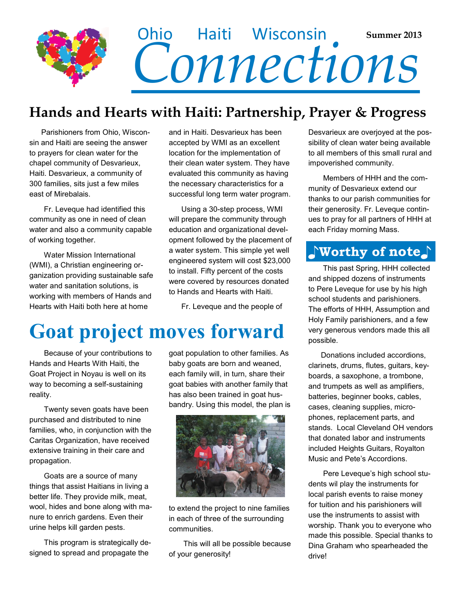

#### **Hands and Hearts with Haiti: Partnership, Prayer & Progress**

 Parishioners from Ohio, Wisconsin and Haiti are seeing the answer to prayers for clean water for the chapel community of Desvarieux, Haiti. Desvarieux, a community of 300 families, sits just a few miles east of Mirebalais.

 Fr. Leveque had identified this community as one in need of clean water and also a community capable of working together.

 Water Mission International (WMI), a Christian engineering organization providing sustainable safe water and sanitation solutions, is working with members of Hands and Hearts with Haiti both here at home

and in Haiti. Desvarieux has been accepted by WMI as an excellent location for the implementation of their clean water system. They have evaluated this community as having the necessary characteristics for a successful long term water program.

 Using a 30-step process, WMI will prepare the community through education and organizational development followed by the placement of a water system. This simple yet well engineered system will cost \$23,000 to install. Fifty percent of the costs were covered by resources donated to Hands and Hearts with Haiti.

Fr. Leveque and the people of

## **Goat project moves forward**

 Because of your contributions to Hands and Hearts With Haiti, the Goat Project in Noyau is well on its way to becoming a self-sustaining reality.

 Twenty seven goats have been purchased and distributed to nine families, who, in conjunction with the Caritas Organization, have received extensive training in their care and propagation.

 Goats are a source of many things that assist Haitians in living a better life. They provide milk, meat, wool, hides and bone along with manure to enrich gardens. Even their urine helps kill garden pests.

 This program is strategically designed to spread and propagate the

goat population to other families. As baby goats are born and weaned, each family will, in turn, share their goat babies with another family that has also been trained in goat husbandry. Using this model, the plan is



to extend the project to nine families in each of three of the surrounding communities.

 This will all be possible because of your generosity!

Desvarieux are overjoyed at the possibility of clean water being available to all members of this small rural and impoverished community.

 Members of HHH and the community of Desvarieux extend our thanks to our parish communities for their generosity. Fr. Leveque continues to pray for all partners of HHH at each Friday morning Mass.

#### **♪Worthy of note♪**

 This past Spring, HHH collected and shipped dozens of instruments to Pere Leveque for use by his high school students and parishioners. The efforts of HHH, Assumption and Holy Family parishioners, and a few very generous vendors made this all possible.

 Donations included accordions, clarinets, drums, flutes, guitars, keyboards, a saxophone, a trombone, and trumpets as well as amplifiers, batteries, beginner books, cables, cases, cleaning supplies, microphones, replacement parts, and stands. Local Cleveland OH vendors that donated labor and instruments included Heights Guitars, Royalton Music and Pete's Accordions.

 Pere Leveque's high school students wil play the instruments for local parish events to raise money for tuition and his parishioners will use the instruments to assist with worship. Thank you to everyone who made this possible. Special thanks to Dina Graham who spearheaded the drive!